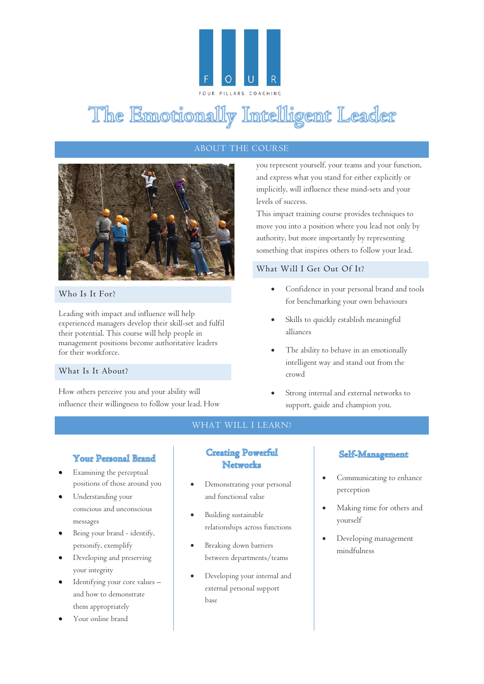

# The Emotionally Intelligent Leader

### ABOUT THE COURSE



#### Who Is It For?

Leading with impact and influence will help experienced managers develop their skill-set and fulfil their potential. This course will help people in management positions become authoritative leaders for their workforce.

#### What Is It About?

How others perceive you and your ability will influence their willingness to follow your lead. How

you represent yourself, your teams and your function, and express what you stand for either explicitly or implicitly, will influence these mind-sets and your levels of success.

This impact training course provides techniques to move you into a position where you lead not only by authority, but more importantly by representing something that inspires others to follow your lead.

#### What Will I Get Out Of It?

- Confidence in your personal brand and tools for benchmarking your own behaviours
- Skills to quickly establish meaningful alliances
- The ability to behave in an emotionally intelligent way and stand out from the crowd
- Strong internal and external networks to support, guide and champion you.

#### WHAT WILL I LEARN?

#### Your Personal Brand

- Examining the perceptual positions of those around you
- Understanding your conscious and unconscious messages
- Being your brand identify, personify, exemplify
- Developing and preserving your integrity
- Identifying your core values and how to demonstrate them appropriately
- Your online brand

## **Creating Powerful Networks**

- Demonstrating your personal and functional value
- Building sustainable relationships across functions
- Breaking down barriers between departments/teams
- Developing your internal and external personal support base

#### Self-Management

- Communicating to enhance perception
- Making time for others and yourself
- Developing management mindfulness